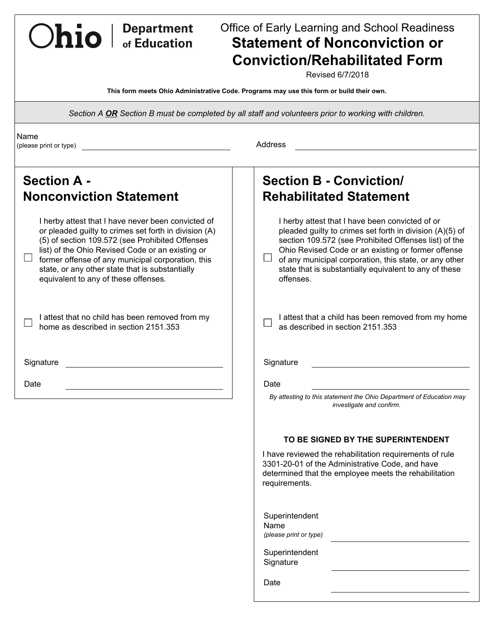# Office of Early Learning and School Readiness **Statement of Nonconviction or Conviction/Rehabilitated Form**

Revised 6/7/2018

**This form meets Ohio Administrative Code. Programs may use this form or build their own.** 

*Section A OR Section B must be completed by all staff and volunteers prior to working with children.* 

(please print or type) Address

Ohio | Department

| <b>Section A -</b><br><b>Nonconviction Statement</b>                                                                                                                                                                                                                                                                                                               | <b>Section B - Conviction/</b><br><b>Rehabilitated Statement</b>                                                                                                                                                                                                                                                                                            |
|--------------------------------------------------------------------------------------------------------------------------------------------------------------------------------------------------------------------------------------------------------------------------------------------------------------------------------------------------------------------|-------------------------------------------------------------------------------------------------------------------------------------------------------------------------------------------------------------------------------------------------------------------------------------------------------------------------------------------------------------|
| I herby attest that I have never been convicted of<br>or pleaded guilty to crimes set forth in division (A)<br>(5) of section 109.572 (see Prohibited Offenses<br>list) of the Ohio Revised Code or an existing or<br>former offense of any municipal corporation, this<br>state, or any other state that is substantially<br>equivalent to any of these offenses. | I herby attest that I have been convicted of or<br>pleaded guilty to crimes set forth in division (A)(5) of<br>section 109.572 (see Prohibited Offenses list) of the<br>Ohio Revised Code or an existing or former offense<br>of any municipal corporation, this state, or any other<br>state that is substantially equivalent to any of these<br>offenses. |
| I attest that no child has been removed from my<br>home as described in section 2151.353                                                                                                                                                                                                                                                                           | I attest that a child has been removed from my home<br>as described in section 2151.353                                                                                                                                                                                                                                                                     |
| Signature                                                                                                                                                                                                                                                                                                                                                          | Signature                                                                                                                                                                                                                                                                                                                                                   |
| Date                                                                                                                                                                                                                                                                                                                                                               | Date<br>By attesting to this statement the Ohio Department of Education may<br>investigate and confirm.                                                                                                                                                                                                                                                     |
|                                                                                                                                                                                                                                                                                                                                                                    |                                                                                                                                                                                                                                                                                                                                                             |

# **TO BE SIGNED BY THE SUPERINTENDENT**

I have reviewed the rehabilitation requirements of rule 3301-20-01 of the Administrative Code, and have determined that the employee meets the rehabilitation requirements.

| Superintendent         |  |
|------------------------|--|
| Name                   |  |
| (please print or type) |  |

Superintendent **Signature** 

Date